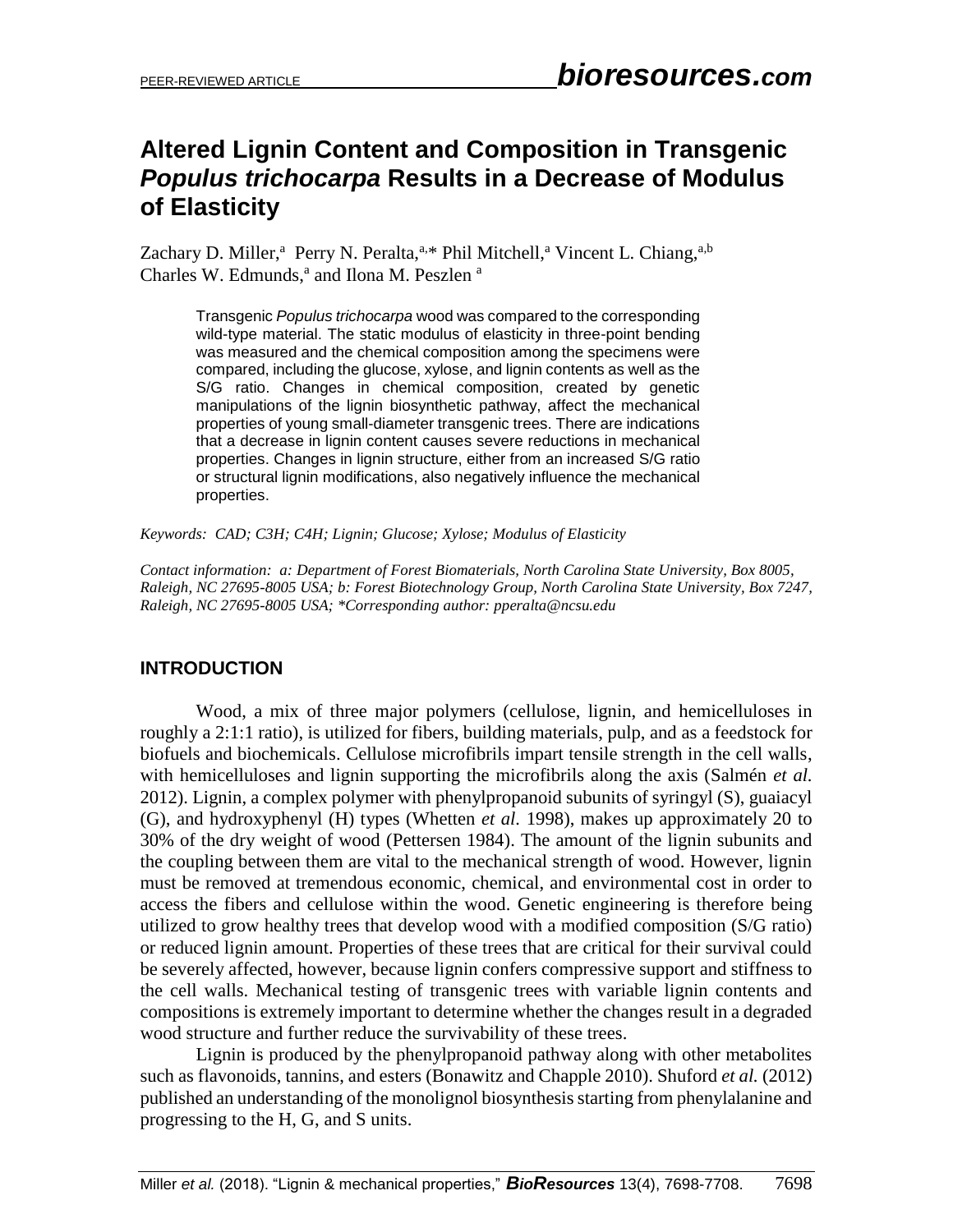# **Altered Lignin Content and Composition in Transgenic**  *Populus trichocarpa* **Results in a Decrease of Modulus of Elasticity**

Zachary D. Miller,<sup>a</sup> Perry N. Peralta,<sup>a,\*</sup> Phil Mitchell,<sup>a</sup> Vincent L. Chiang,<sup>a,b</sup> Charles W. Edmunds,<sup>a</sup> and Ilona M. Peszlen<sup>a</sup>

Transgenic *Populus trichocarpa* wood was compared to the corresponding wild-type material. The static modulus of elasticity in three-point bending was measured and the chemical composition among the specimens were compared, including the glucose, xylose, and lignin contents as well as the S/G ratio. Changes in chemical composition, created by genetic manipulations of the lignin biosynthetic pathway, affect the mechanical properties of young small-diameter transgenic trees. There are indications that a decrease in lignin content causes severe reductions in mechanical properties. Changes in lignin structure, either from an increased S/G ratio or structural lignin modifications, also negatively influence the mechanical properties.

*Keywords: CAD; C3H; C4H; Lignin; Glucose; Xylose; Modulus of Elasticity*

*Contact information: a: Department of Forest Biomaterials, North Carolina State University, Box 8005, Raleigh, NC 27695-8005 USA; b: Forest Biotechnology Group, North Carolina State University, Box 7247, Raleigh, NC 27695-8005 USA; \*Corresponding author: [pperalta@ncsu.edu](mailto:pperalta@ncsu.edu)*

# **INTRODUCTION**

Wood, a mix of three major polymers (cellulose, lignin, and hemicelluloses in roughly a 2:1:1 ratio), is utilized for fibers, building materials, pulp, and as a feedstock for biofuels and biochemicals. Cellulose microfibrils impart tensile strength in the cell walls, with hemicelluloses and lignin supporting the microfibrils along the axis (Salmén *et al.* 2012). Lignin, a complex polymer with phenylpropanoid subunits of syringyl (S), guaiacyl (G), and hydroxyphenyl (H) types (Whetten *et al.* 1998), makes up approximately 20 to 30% of the dry weight of wood (Pettersen 1984). The amount of the lignin subunits and the coupling between them are vital to the mechanical strength of wood. However, lignin must be removed at tremendous economic, chemical, and environmental cost in order to access the fibers and cellulose within the wood. Genetic engineering is therefore being utilized to grow healthy trees that develop wood with a modified composition (S/G ratio) or reduced lignin amount. Properties of these trees that are critical for their survival could be severely affected, however, because lignin confers compressive support and stiffness to the cell walls. Mechanical testing of transgenic trees with variable lignin contents and compositions is extremely important to determine whether the changes result in a degraded wood structure and further reduce the survivability of these trees.

Lignin is produced by the phenylpropanoid pathway along with other metabolites such as flavonoids, tannins, and esters (Bonawitz and Chapple 2010). Shuford *et al.* (2012) published an understanding of the monolignol biosynthesis starting from phenylalanine and progressing to the H, G, and S units.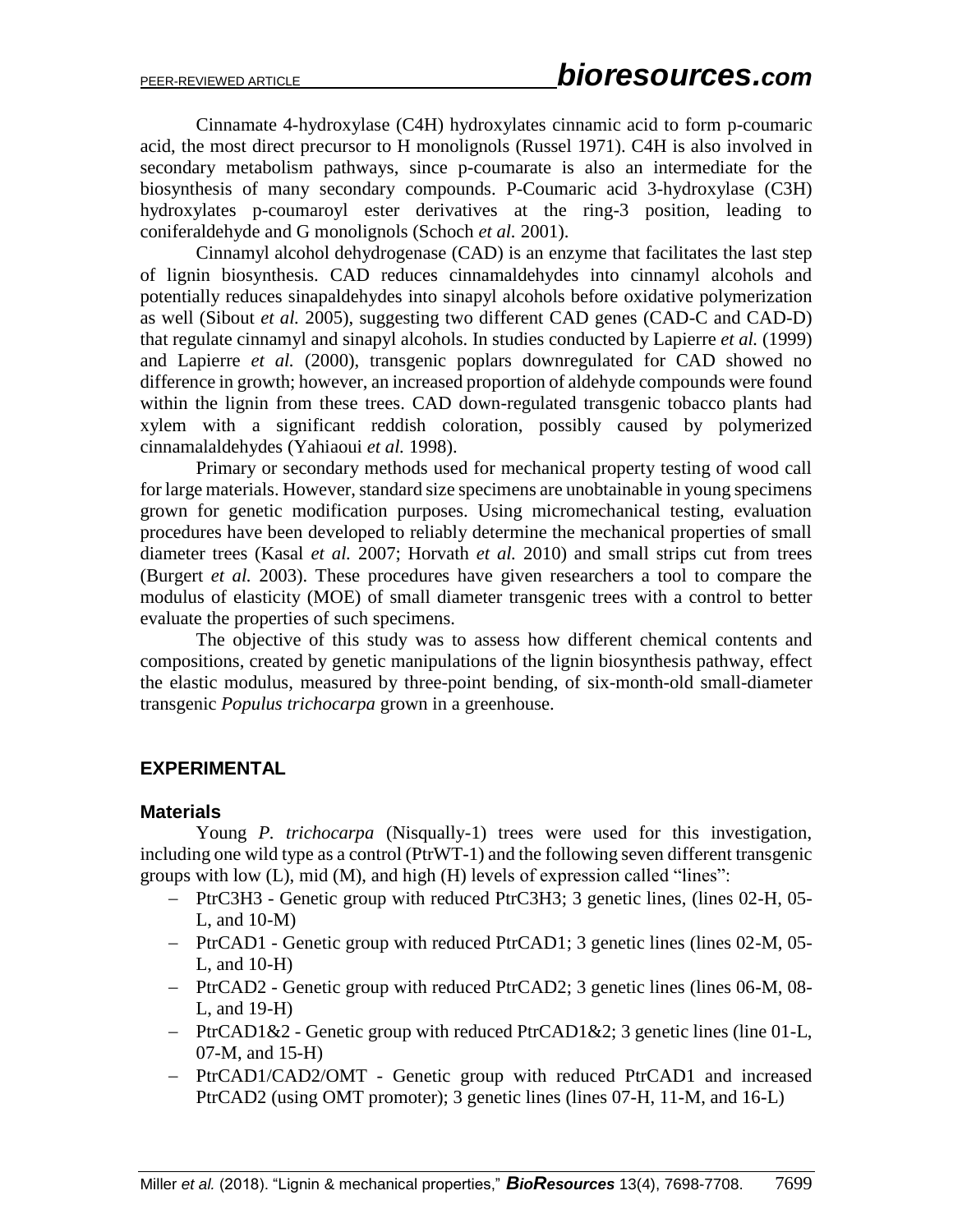Cinnamate 4-hydroxylase (C4H) hydroxylates cinnamic acid to form p-coumaric acid, the most direct precursor to H monolignols (Russel 1971). C4H is also involved in secondary metabolism pathways, since p-coumarate is also an intermediate for the biosynthesis of many secondary compounds. P-Coumaric acid 3-hydroxylase (C3H) hydroxylates p-coumaroyl ester derivatives at the ring-3 position, leading to coniferaldehyde and G monolignols (Schoch *et al.* 2001).

Cinnamyl alcohol dehydrogenase (CAD) is an enzyme that facilitates the last step of lignin biosynthesis. CAD reduces cinnamaldehydes into cinnamyl alcohols and potentially reduces sinapaldehydes into sinapyl alcohols before oxidative polymerization as well (Sibout *et al.* 2005), suggesting two different CAD genes (CAD-C and CAD-D) that regulate cinnamyl and sinapyl alcohols. In studies conducted by Lapierre *et al.* (1999) and Lapierre *et al.* (2000), transgenic poplars downregulated for CAD showed no difference in growth; however, an increased proportion of aldehyde compounds were found within the lignin from these trees. CAD down-regulated transgenic tobacco plants had xylem with a significant reddish coloration, possibly caused by polymerized cinnamalaldehydes (Yahiaoui *et al.* 1998).

Primary or secondary methods used for mechanical property testing of wood call for large materials. However, standard size specimens are unobtainable in young specimens grown for genetic modification purposes. Using micromechanical testing, evaluation procedures have been developed to reliably determine the mechanical properties of small diameter trees (Kasal *et al.* 2007; Horvath *et al.* 2010) and small strips cut from trees (Burgert *et al.* 2003). These procedures have given researchers a tool to compare the modulus of elasticity (MOE) of small diameter transgenic trees with a control to better evaluate the properties of such specimens.

The objective of this study was to assess how different chemical contents and compositions, created by genetic manipulations of the lignin biosynthesis pathway, effect the elastic modulus, measured by three-point bending, of six-month-old small-diameter transgenic *Populus trichocarpa* grown in a greenhouse.

## **EXPERIMENTAL**

#### **Materials**

Young *P. trichocarpa* (Nisqually-1) trees were used for this investigation, including one wild type as a control (PtrWT-1) and the following seven different transgenic groups with low (L), mid (M), and high (H) levels of expression called "lines":

- PtrC3H3 Genetic group with reduced PtrC3H3; 3 genetic lines, (lines 02-H, 05- L, and 10-M)
- PtrCAD1 Genetic group with reduced PtrCAD1; 3 genetic lines (lines 02-M, 05- L, and 10-H)
- PtrCAD2 Genetic group with reduced PtrCAD2; 3 genetic lines (lines 06-M, 08- L, and 19-H)
- PtrCAD1&2 Genetic group with reduced PtrCAD1&2; 3 genetic lines (line 01-L, 07-M, and 15-H)
- PtrCAD1/CAD2/OMT Genetic group with reduced PtrCAD1 and increased PtrCAD2 (using OMT promoter); 3 genetic lines (lines 07-H, 11-M, and 16-L)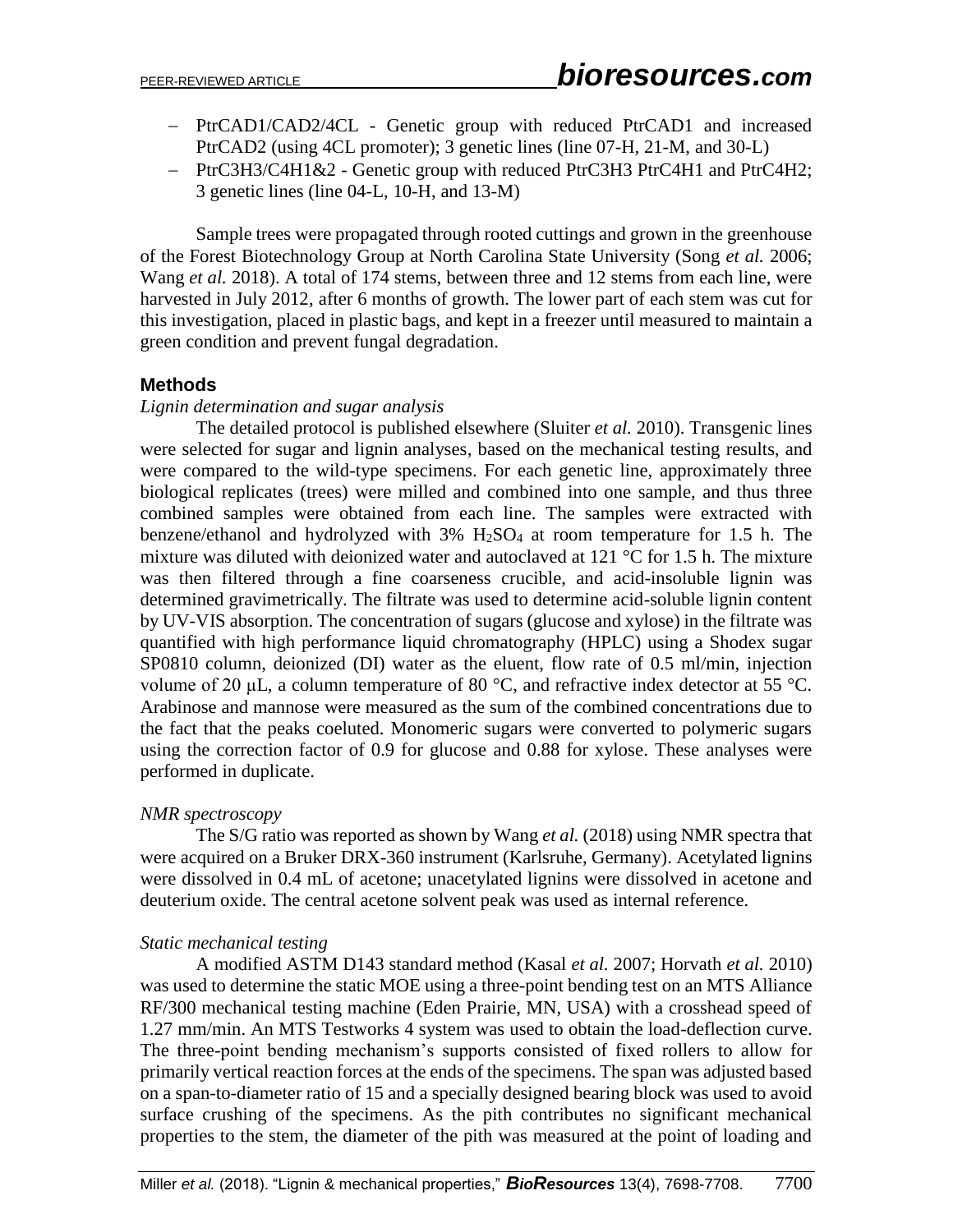- PtrCAD1/CAD2/4CL Genetic group with reduced PtrCAD1 and increased PtrCAD2 (using 4CL promoter); 3 genetic lines (line 07-H, 21-M, and 30-L)
- PtrC3H3/C4H1&2 Genetic group with reduced PtrC3H3 PtrC4H1 and PtrC4H2; 3 genetic lines (line 04-L, 10-H, and 13-M)

Sample trees were propagated through rooted cuttings and grown in the greenhouse of the Forest Biotechnology Group at North Carolina State University (Song *et al.* 2006; Wang *et al.* 2018). A total of 174 stems, between three and 12 stems from each line, were harvested in July 2012, after 6 months of growth. The lower part of each stem was cut for this investigation, placed in plastic bags, and kept in a freezer until measured to maintain a green condition and prevent fungal degradation.

## **Methods**

#### *Lignin determination and sugar analysis*

The detailed protocol is published elsewhere (Sluiter *et al.* 2010). Transgenic lines were selected for sugar and lignin analyses, based on the mechanical testing results, and were compared to the wild-type specimens. For each genetic line, approximately three biological replicates (trees) were milled and combined into one sample, and thus three combined samples were obtained from each line. The samples were extracted with benzene/ethanol and hydrolyzed with  $3\%$  H<sub>2</sub>SO<sub>4</sub> at room temperature for 1.5 h. The mixture was diluted with deionized water and autoclaved at 121 °C for 1.5 h. The mixture was then filtered through a fine coarseness crucible, and acid-insoluble lignin was determined gravimetrically. The filtrate was used to determine acid-soluble lignin content by UV-VIS absorption. The concentration of sugars (glucose and xylose) in the filtrate was quantified with high performance liquid chromatography (HPLC) using a Shodex sugar SP0810 column, deionized (DI) water as the eluent, flow rate of 0.5 ml/min, injection volume of 20 μL, a column temperature of 80 °C, and refractive index detector at 55 °C. Arabinose and mannose were measured as the sum of the combined concentrations due to the fact that the peaks coeluted. Monomeric sugars were converted to polymeric sugars using the correction factor of 0.9 for glucose and 0.88 for xylose. These analyses were performed in duplicate.

#### *NMR spectroscopy*

The S/G ratio was reported as shown by Wang *et al.* (2018) using NMR spectra that were acquired on a Bruker DRX-360 instrument (Karlsruhe, Germany). Acetylated lignins were dissolved in 0.4 mL of acetone; unacetylated lignins were dissolved in acetone and deuterium oxide. The central acetone solvent peak was used as internal reference.

#### *Static mechanical testing*

A modified ASTM D143 standard method (Kasal *et al.* 2007; Horvath *et al.* 2010) was used to determine the static MOE using a three-point bending test on an MTS Alliance RF/300 mechanical testing machine (Eden Prairie, MN, USA) with a crosshead speed of 1.27 mm/min. An MTS Testworks 4 system was used to obtain the load-deflection curve. The three-point bending mechanism's supports consisted of fixed rollers to allow for primarily vertical reaction forces at the ends of the specimens. The span was adjusted based on a span-to-diameter ratio of 15 and a specially designed bearing block was used to avoid surface crushing of the specimens. As the pith contributes no significant mechanical properties to the stem, the diameter of the pith was measured at the point of loading and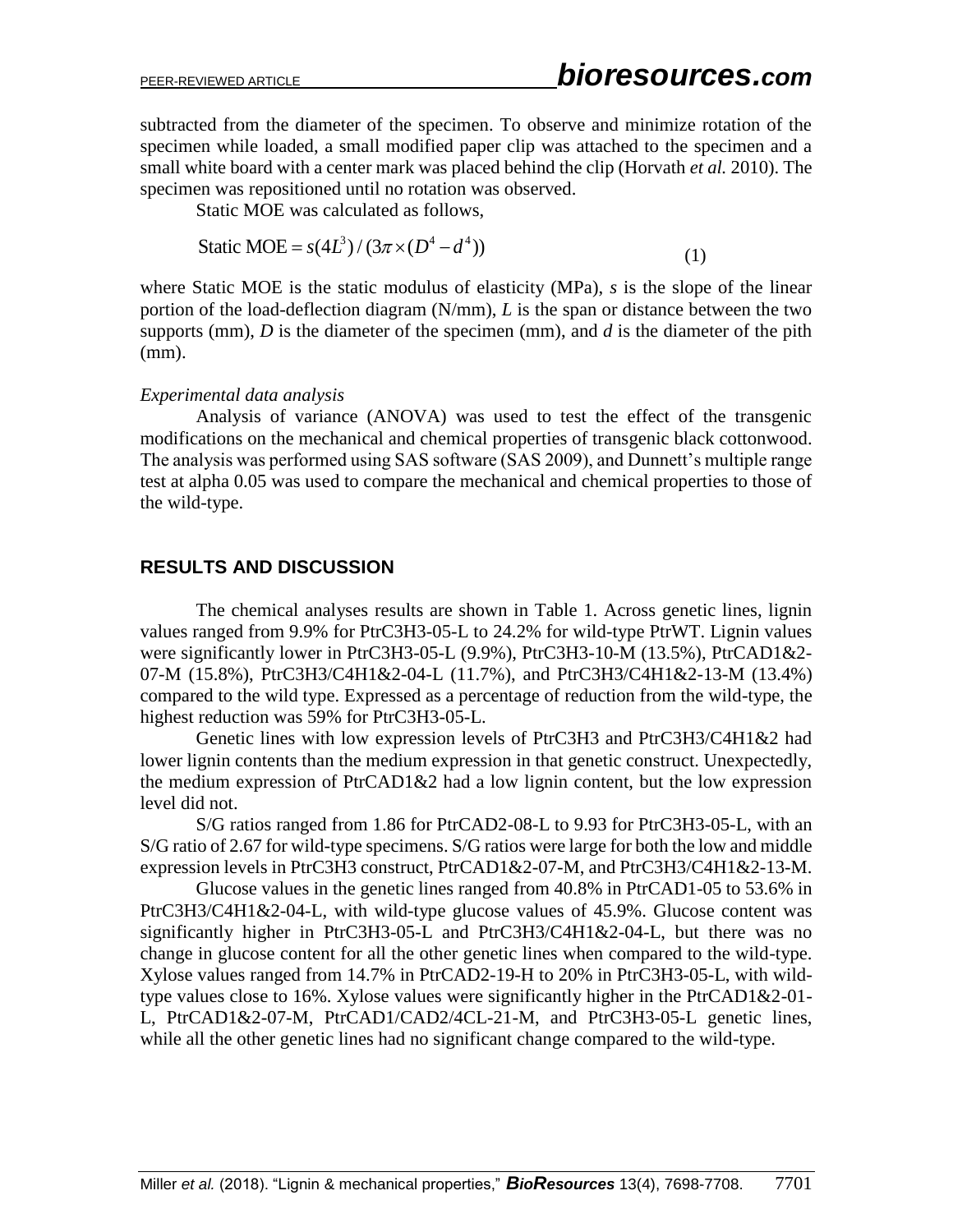subtracted from the diameter of the specimen. To observe and minimize rotation of the specimen while loaded, a small modified paper clip was attached to the specimen and a small white board with a center mark was placed behind the clip (Horvath *et al.* 2010). The specimen was repositioned until no rotation was observed.

Static MOE was calculated as follows,

Static MOE =  $s(4L^3) / (3\pi \times (D^4 - d^4))$ (1)

where Static MOE is the static modulus of elasticity (MPa), *s* is the slope of the linear portion of the load-deflection diagram (N/mm), *L* is the span or distance between the two supports (mm), *D* is the diameter of the specimen (mm), and *d* is the diameter of the pith (mm).

#### *Experimental data analysis*

Analysis of variance (ANOVA) was used to test the effect of the transgenic modifications on the mechanical and chemical properties of transgenic black cottonwood. The analysis was performed using SAS software (SAS 2009), and Dunnett's multiple range test at alpha 0.05 was used to compare the mechanical and chemical properties to those of the wild-type.

## **RESULTS AND DISCUSSION**

The chemical analyses results are shown in Table 1. Across genetic lines, lignin values ranged from 9.9% for PtrC3H3-05-L to 24.2% for wild-type PtrWT. Lignin values were significantly lower in PtrC3H3-05-L (9.9%), PtrC3H3-10-M (13.5%), PtrCAD1&2- 07-M (15.8%), PtrC3H3/C4H1&2-04-L (11.7%), and PtrC3H3/C4H1&2-13-M (13.4%) compared to the wild type. Expressed as a percentage of reduction from the wild-type, the highest reduction was 59% for PtrC3H3-05-L.

Genetic lines with low expression levels of PtrC3H3 and PtrC3H3/C4H1&2 had lower lignin contents than the medium expression in that genetic construct. Unexpectedly, the medium expression of PtrCAD1&2 had a low lignin content, but the low expression level did not.

S/G ratios ranged from 1.86 for PtrCAD2-08-L to 9.93 for PtrC3H3-05-L, with an S/G ratio of 2.67 for wild-type specimens. S/G ratios were large for both the low and middle expression levels in PtrC3H3 construct, PtrCAD1&2-07-M, and PtrC3H3/C4H1&2-13-M.

Glucose values in the genetic lines ranged from 40.8% in PtrCAD1-05 to 53.6% in PtrC3H3/C4H1&2-04-L, with wild-type glucose values of 45.9%. Glucose content was significantly higher in PtrC3H3-05-L and PtrC3H3/C4H1&2-04-L, but there was no change in glucose content for all the other genetic lines when compared to the wild-type. Xylose values ranged from 14.7% in PtrCAD2-19-H to 20% in PtrC3H3-05-L, with wildtype values close to 16%. Xylose values were significantly higher in the PtrCAD1&2-01- L, PtrCAD1&2-07-M, PtrCAD1/CAD2/4CL-21-M, and PtrC3H3-05-L genetic lines, while all the other genetic lines had no significant change compared to the wild-type.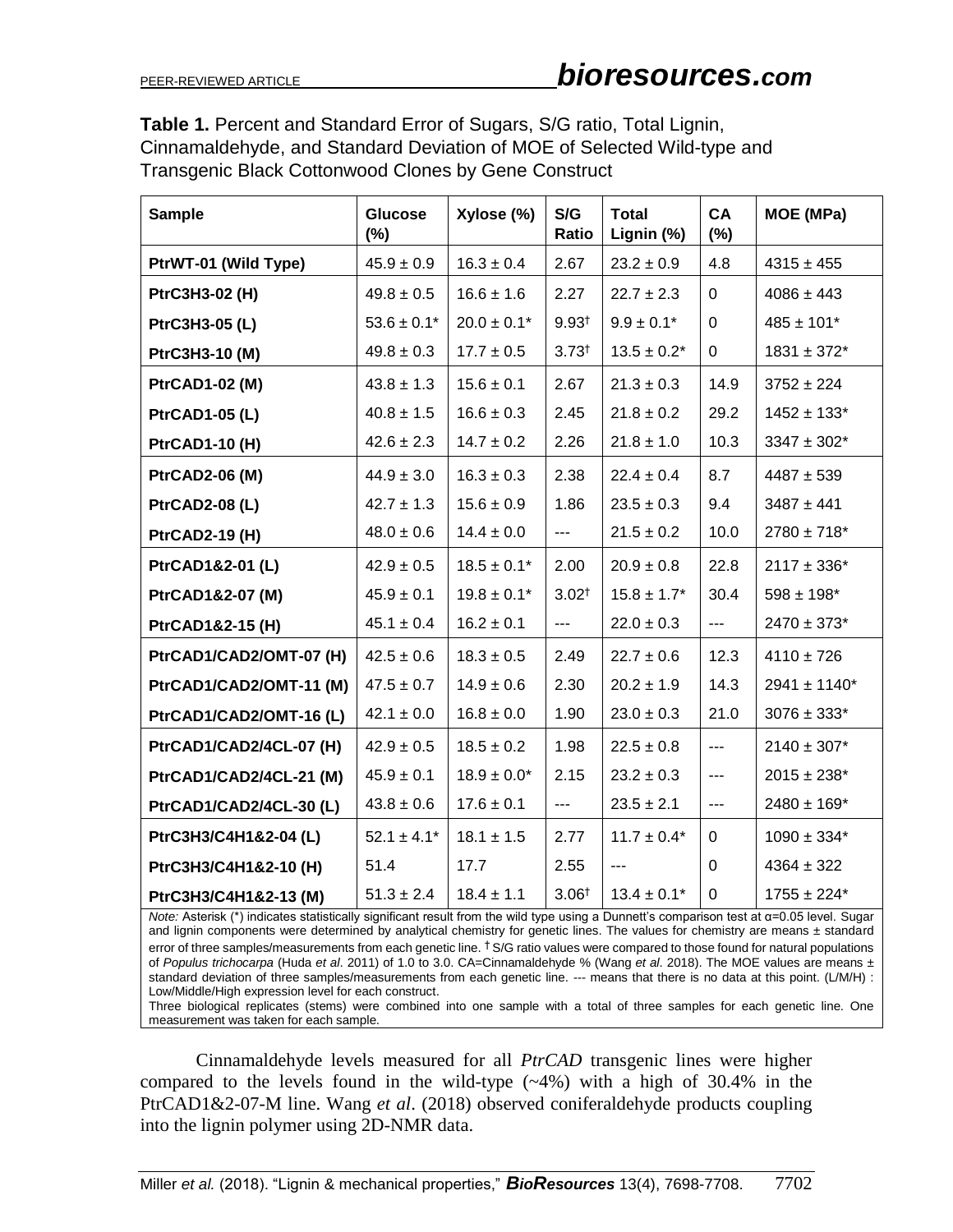**Table 1.** Percent and Standard Error of Sugars, S/G ratio, Total Lignin, Cinnamaldehyde, and Standard Deviation of MOE of Selected Wild-type and Transgenic Black Cottonwood Clones by Gene Construct

| <b>Sample</b>           | <b>Glucose</b><br>$(\%)$ | Xylose (%)       | S/G<br>Ratio         | <b>Total</b><br>Lignin (%) | CA<br>$(\%)$      | MOE (MPa)         |
|-------------------------|--------------------------|------------------|----------------------|----------------------------|-------------------|-------------------|
| PtrWT-01 (Wild Type)    | $45.9 \pm 0.9$           | $16.3 \pm 0.4$   | 2.67                 | $23.2 \pm 0.9$             | 4.8               | $4315 \pm 455$    |
| PtrC3H3-02 (H)          | $49.8 \pm 0.5$           | $16.6 \pm 1.6$   | 2.27                 | $22.7 \pm 2.3$             | $\Omega$          | $4086 \pm 443$    |
| PtrC3H3-05 (L)          | $53.6 \pm 0.1*$          | $20.0 \pm 0.1*$  | $9.93^{+}$           | $9.9 \pm 0.1*$             | $\Omega$          | $485 \pm 101*$    |
| PtrC3H3-10 (M)          | $49.8 \pm 0.3$           | $17.7 \pm 0.5$   | $3.73^{+}$           | $13.5 \pm 0.2^*$           | 0                 | $1831 \pm 372$ *  |
| <b>PtrCAD1-02 (M)</b>   | $43.8 \pm 1.3$           | $15.6 \pm 0.1$   | 2.67                 | $21.3 \pm 0.3$             | 14.9              | $3752 \pm 224$    |
| <b>PtrCAD1-05 (L)</b>   | $40.8 \pm 1.5$           | $16.6 \pm 0.3$   | 2.45                 | $21.8 \pm 0.2$             | 29.2              | $1452 \pm 133$ *  |
| <b>PtrCAD1-10 (H)</b>   | $42.6 \pm 2.3$           | $14.7 \pm 0.2$   | 2.26                 | $21.8 \pm 1.0$             | 10.3              | $3347 \pm 302^*$  |
| <b>PtrCAD2-06 (M)</b>   | $44.9 \pm 3.0$           | $16.3 \pm 0.3$   | 2.38                 | $22.4 \pm 0.4$             | 8.7               | $4487 + 539$      |
| <b>PtrCAD2-08 (L)</b>   | $42.7 \pm 1.3$           | $15.6 \pm 0.9$   | 1.86                 | $23.5 \pm 0.3$             | 9.4               | $3487 \pm 441$    |
| <b>PtrCAD2-19 (H)</b>   | $48.0 \pm 0.6$           | $14.4\pm0.0$     | $\qquad \qquad -1$   | $21.5 \pm 0.2$             | 10.0              | $2780 \pm 718^*$  |
| PtrCAD1&2-01 (L)        | $42.9 \pm 0.5$           | $18.5 \pm 0.1*$  | 2.00                 | $20.9 \pm 0.8$             | 22.8              | $2117 \pm 336^*$  |
| PtrCAD1&2-07 (M)        | $45.9 \pm 0.1$           | $19.8 \pm 0.1*$  | $3.02^{+}$           | $15.8 \pm 1.7^*$           | 30.4              | $598 \pm 198$ *   |
| PtrCAD1&2-15 (H)        | $45.1 \pm 0.4$           | $16.2 \pm 0.1$   | $\sim$ $\sim$ $\sim$ | $22.0 \pm 0.3$             | $\qquad \qquad -$ | $2470 \pm 373*$   |
| PtrCAD1/CAD2/OMT-07 (H) | $42.5 \pm 0.6$           | $18.3 \pm 0.5$   | 2.49                 | $22.7 \pm 0.6$             | 12.3              | $4110 \pm 726$    |
| PtrCAD1/CAD2/OMT-11 (M) | $47.5 \pm 0.7$           | $14.9 \pm 0.6$   | 2.30                 | $20.2 \pm 1.9$             | 14.3              | $2941 \pm 1140^*$ |
| PtrCAD1/CAD2/OMT-16 (L) | $42.1 \pm 0.0$           | $16.8\pm0.0$     | 1.90                 | $23.0 \pm 0.3$             | 21.0              | $3076 \pm 333*$   |
| PtrCAD1/CAD2/4CL-07 (H) | $42.9 \pm 0.5$           | $18.5 \pm 0.2$   | 1.98                 | $22.5 \pm 0.8$             | $\overline{a}$    | $2140 \pm 307*$   |
| PtrCAD1/CAD2/4CL-21 (M) | $45.9 \pm 0.1$           | $18.9 \pm 0.0^*$ | 2.15                 | $23.2 \pm 0.3$             | $--$              | $2015 \pm 238*$   |
| PtrCAD1/CAD2/4CL-30(L)  | $43.8 \pm 0.6$           | $17.6 \pm 0.1$   | $\overline{a}$       | $23.5 \pm 2.1$             | $---$             | $2480 \pm 169^*$  |
| PtrC3H3/C4H1&2-04 (L)   | $52.1 \pm 4.1^*$         | $18.1 \pm 1.5$   | 2.77                 | $11.7 \pm 0.4*$            | 0                 | $1090 \pm 334*$   |
| PtrC3H3/C4H1&2-10 (H)   | 51.4                     | 17.7             | 2.55                 | ---                        | 0                 | $4364 \pm 322$    |
| PtrC3H3/C4H1&2-13 (M)   | $51.3 \pm 2.4$           | $18.4 \pm 1.1$   | 3.06 <sup>†</sup>    | $13.4 \pm 0.1*$            | 0                 | $1755 \pm 224*$   |

*Note:* Asterisk (\*) indicates statistically significant result from the wild type using a Dunnett's comparison test at α=0.05 level. Sugar and lignin components were determined by analytical chemistry for genetic lines. The values for chemistry are means ± standard error of three samples/measurements from each genetic line. <sup>†</sup> S/G ratio values were compared to those found for natural populations of *Populus trichocarpa* (Huda *et al*. 2011) of 1.0 to 3.0. CA=Cinnamaldehyde % (Wang *et al*. 2018). The MOE values are means ± standard deviation of three samples/measurements from each genetic line. --- means that there is no data at this point. (L/M/H) : Low/Middle/High expression level for each construct.

Three biological replicates (stems) were combined into one sample with a total of three samples for each genetic line. One measurement was taken for each sample.

Cinnamaldehyde levels measured for all *PtrCAD* transgenic lines were higher compared to the levels found in the wild-type  $(-4%)$  with a high of 30.4% in the PtrCAD1&2-07-M line. Wang *et al*. (2018) observed coniferaldehyde products coupling into the lignin polymer using 2D-NMR data.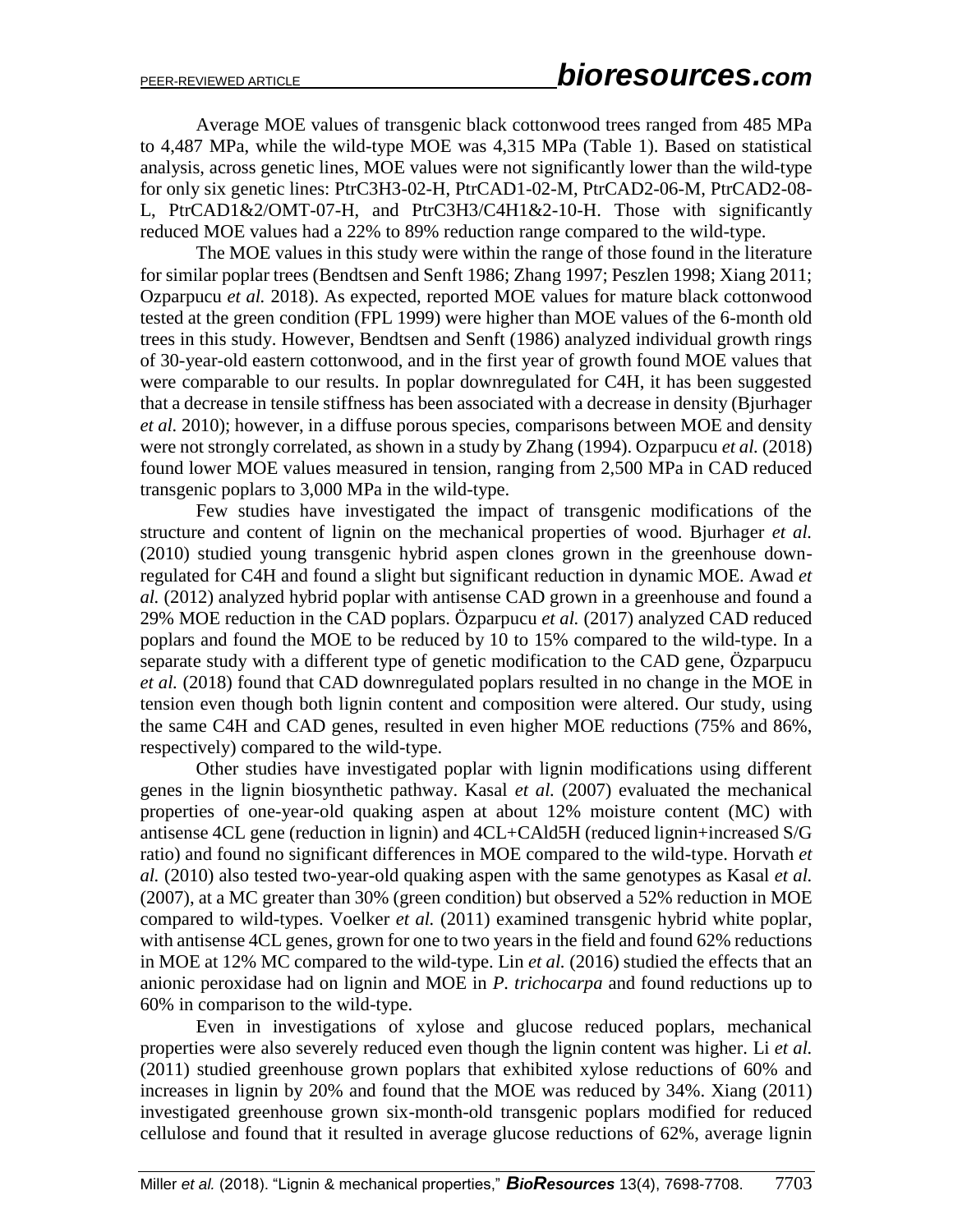Average MOE values of transgenic black cottonwood trees ranged from 485 MPa to 4,487 MPa, while the wild-type MOE was 4,315 MPa (Table 1). Based on statistical analysis, across genetic lines, MOE values were not significantly lower than the wild-type for only six genetic lines: PtrC3H3-02-H, PtrCAD1-02-M, PtrCAD2-06-M, PtrCAD2-08- L, PtrCAD1&2/OMT-07-H, and PtrC3H3/C4H1&2-10-H. Those with significantly reduced MOE values had a 22% to 89% reduction range compared to the wild-type.

The MOE values in this study were within the range of those found in the literature for similar poplar trees (Bendtsen and Senft 1986; Zhang 1997; Peszlen 1998; Xiang 2011; Ozparpucu *et al.* 2018). As expected, reported MOE values for mature black cottonwood tested at the green condition (FPL 1999) were higher than MOE values of the 6-month old trees in this study. However, Bendtsen and Senft (1986) analyzed individual growth rings of 30-year-old eastern cottonwood, and in the first year of growth found MOE values that were comparable to our results. In poplar downregulated for C4H, it has been suggested that a decrease in tensile stiffness has been associated with a decrease in density (Bjurhager *et al.* 2010); however, in a diffuse porous species, comparisons between MOE and density were not strongly correlated, as shown in a study by Zhang (1994). Ozparpucu *et al.* (2018) found lower MOE values measured in tension, ranging from 2,500 MPa in CAD reduced transgenic poplars to 3,000 MPa in the wild-type.

Few studies have investigated the impact of transgenic modifications of the structure and content of lignin on the mechanical properties of wood. Bjurhager *et al.* (2010) studied young transgenic hybrid aspen clones grown in the greenhouse downregulated for C4H and found a slight but significant reduction in dynamic MOE. Awad *et al.* (2012) analyzed hybrid poplar with antisense CAD grown in a greenhouse and found a 29% MOE reduction in the CAD poplars. Özparpucu *et al.* (2017) analyzed CAD reduced poplars and found the MOE to be reduced by 10 to 15% compared to the wild-type. In a separate study with a different type of genetic modification to the CAD gene, Özparpucu *et al.* (2018) found that CAD downregulated poplars resulted in no change in the MOE in tension even though both lignin content and composition were altered. Our study, using the same C4H and CAD genes, resulted in even higher MOE reductions (75% and 86%, respectively) compared to the wild-type.

Other studies have investigated poplar with lignin modifications using different genes in the lignin biosynthetic pathway. Kasal *et al.* (2007) evaluated the mechanical properties of one-year-old quaking aspen at about 12% moisture content (MC) with antisense 4CL gene (reduction in lignin) and 4CL+CAld5H (reduced lignin+increased S/G ratio) and found no significant differences in MOE compared to the wild-type. Horvath *et al.* (2010) also tested two-year-old quaking aspen with the same genotypes as Kasal *et al.* (2007), at a MC greater than 30% (green condition) but observed a 52% reduction in MOE compared to wild-types. Voelker *et al.* (2011) examined transgenic hybrid white poplar, with antisense 4CL genes, grown for one to two years in the field and found 62% reductions in MOE at 12% MC compared to the wild-type. Lin *et al.* (2016) studied the effects that an anionic peroxidase had on lignin and MOE in *P. trichocarpa* and found reductions up to 60% in comparison to the wild-type.

Even in investigations of xylose and glucose reduced poplars, mechanical properties were also severely reduced even though the lignin content was higher. Li *et al.* (2011) studied greenhouse grown poplars that exhibited xylose reductions of 60% and increases in lignin by 20% and found that the MOE was reduced by 34%. Xiang (2011) investigated greenhouse grown six-month-old transgenic poplars modified for reduced cellulose and found that it resulted in average glucose reductions of 62%, average lignin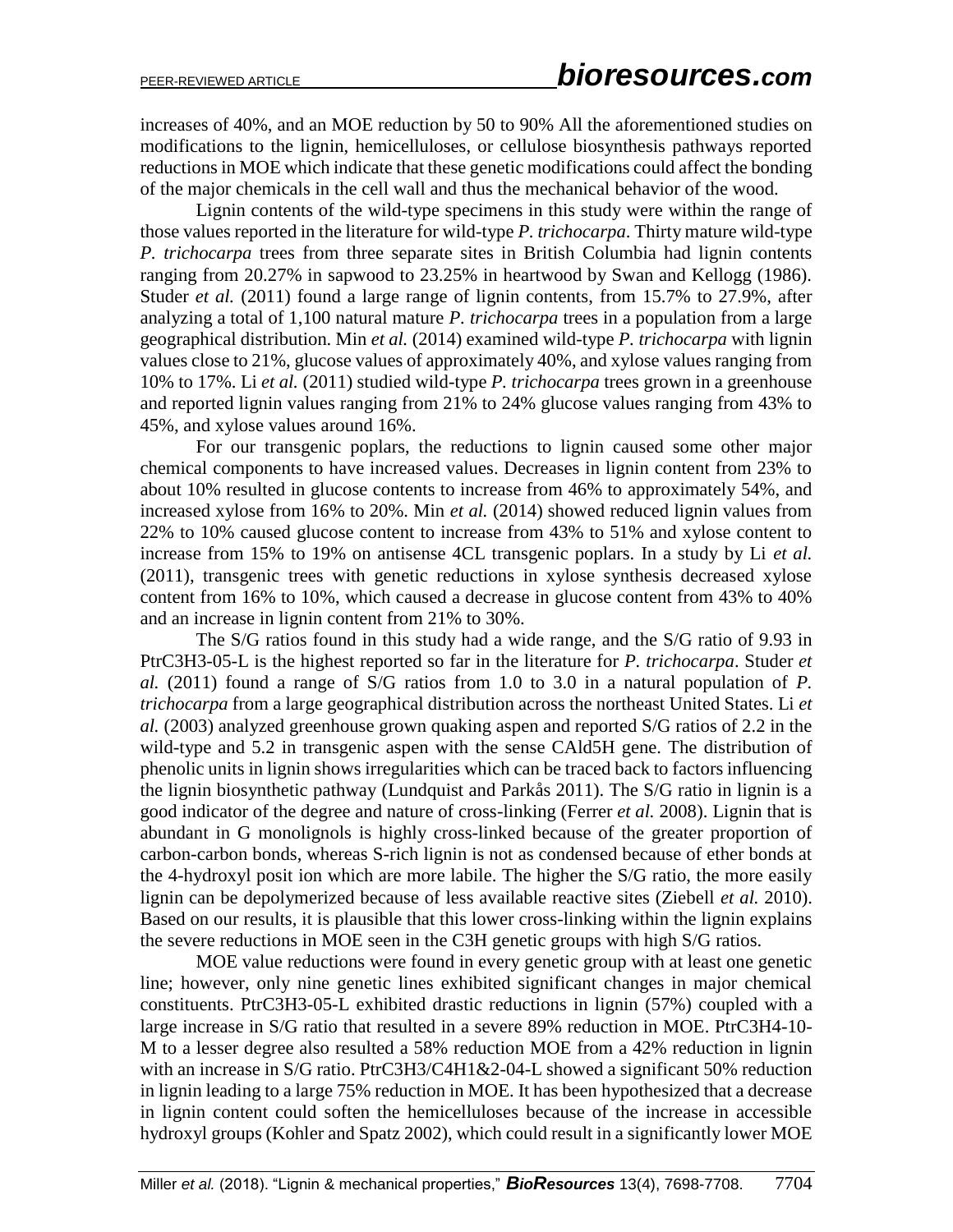increases of 40%, and an MOE reduction by 50 to 90% All the aforementioned studies on modifications to the lignin, hemicelluloses, or cellulose biosynthesis pathways reported reductions in MOE which indicate that these genetic modifications could affect the bonding of the major chemicals in the cell wall and thus the mechanical behavior of the wood.

Lignin contents of the wild-type specimens in this study were within the range of those values reported in the literature for wild-type *P. trichocarpa*. Thirty mature wild-type *P. trichocarpa* trees from three separate sites in British Columbia had lignin contents ranging from 20.27% in sapwood to 23.25% in heartwood by Swan and Kellogg (1986). Studer *et al.* (2011) found a large range of lignin contents, from 15.7% to 27.9%, after analyzing a total of 1,100 natural mature *P. trichocarpa* trees in a population from a large geographical distribution. Min *et al.* (2014) examined wild-type *P. trichocarpa* with lignin values close to 21%, glucose values of approximately 40%, and xylose values ranging from 10% to 17%. Li *et al.* (2011) studied wild-type *P. trichocarpa* trees grown in a greenhouse and reported lignin values ranging from 21% to 24% glucose values ranging from 43% to 45%, and xylose values around 16%.

For our transgenic poplars, the reductions to lignin caused some other major chemical components to have increased values. Decreases in lignin content from 23% to about 10% resulted in glucose contents to increase from 46% to approximately 54%, and increased xylose from 16% to 20%. Min *et al.* (2014) showed reduced lignin values from 22% to 10% caused glucose content to increase from 43% to 51% and xylose content to increase from 15% to 19% on antisense 4CL transgenic poplars. In a study by Li *et al.* (2011), transgenic trees with genetic reductions in xylose synthesis decreased xylose content from 16% to 10%, which caused a decrease in glucose content from 43% to 40% and an increase in lignin content from 21% to 30%.

The S/G ratios found in this study had a wide range, and the S/G ratio of 9.93 in PtrC3H3-05-L is the highest reported so far in the literature for *P. trichocarpa*. Studer *et al.* (2011) found a range of S/G ratios from 1.0 to 3.0 in a natural population of *P. trichocarpa* from a large geographical distribution across the northeast United States. Li *et al.* (2003) analyzed greenhouse grown quaking aspen and reported S/G ratios of 2.2 in the wild-type and 5.2 in transgenic aspen with the sense CAld5H gene. The distribution of phenolic units in lignin shows irregularities which can be traced back to factors influencing the lignin biosynthetic pathway (Lundquist and Parkås 2011). The S/G ratio in lignin is a good indicator of the degree and nature of cross-linking (Ferrer *et al.* 2008). Lignin that is abundant in G monolignols is highly cross-linked because of the greater proportion of carbon-carbon bonds, whereas S-rich lignin is not as condensed because of ether bonds at the 4-hydroxyl posit ion which are more labile. The higher the S/G ratio, the more easily lignin can be depolymerized because of less available reactive sites (Ziebell *et al.* 2010). Based on our results, it is plausible that this lower cross-linking within the lignin explains the severe reductions in MOE seen in the C3H genetic groups with high S/G ratios.

MOE value reductions were found in every genetic group with at least one genetic line; however, only nine genetic lines exhibited significant changes in major chemical constituents. PtrC3H3-05-L exhibited drastic reductions in lignin (57%) coupled with a large increase in S/G ratio that resulted in a severe 89% reduction in MOE. PtrC3H4-10- M to a lesser degree also resulted a 58% reduction MOE from a 42% reduction in lignin with an increase in S/G ratio. PtrC3H3/C4H1&2-04-L showed a significant 50% reduction in lignin leading to a large 75% reduction in MOE. It has been hypothesized that a decrease in lignin content could soften the hemicelluloses because of the increase in accessible hydroxyl groups (Kohler and Spatz 2002), which could result in a significantly lower MOE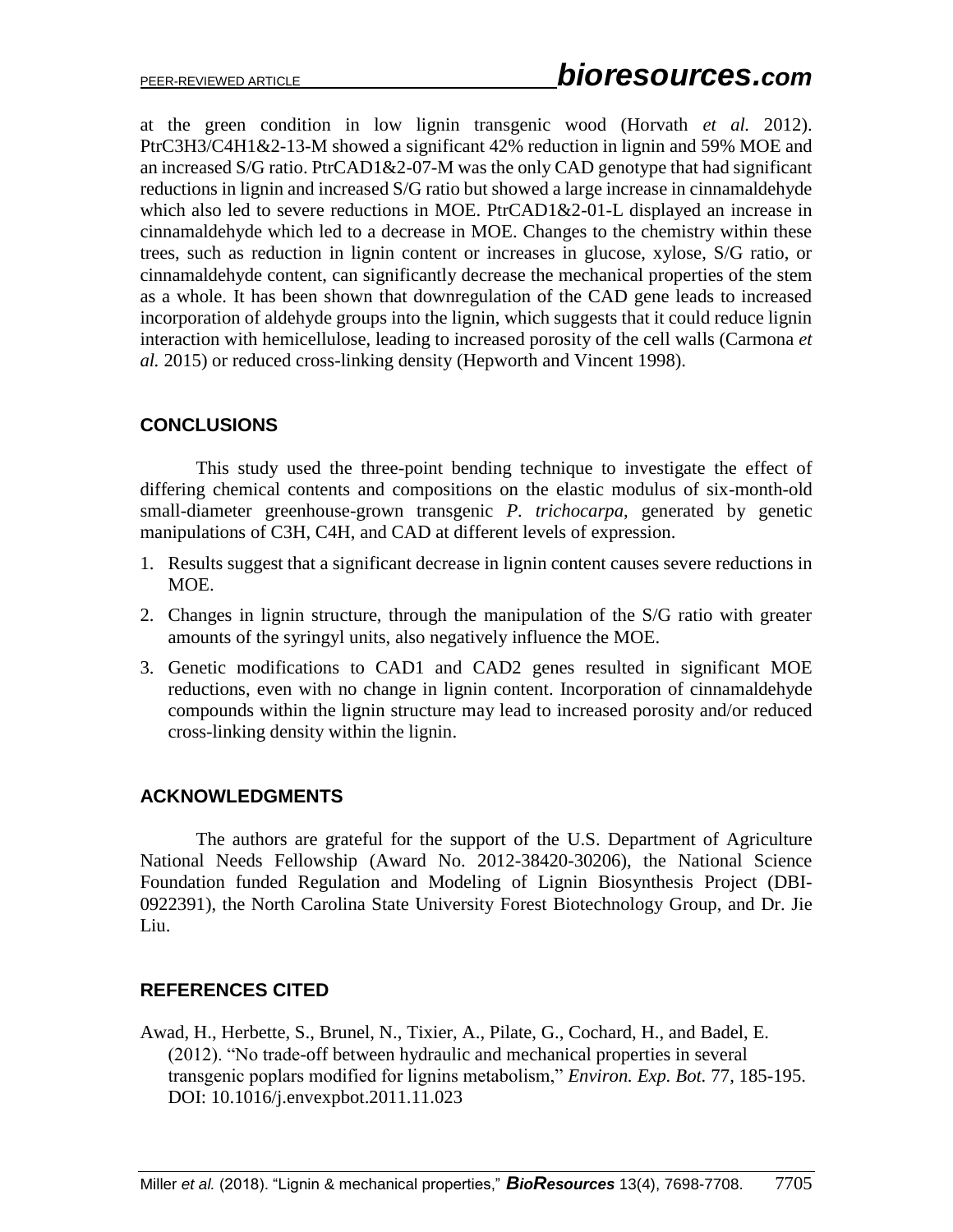at the green condition in low lignin transgenic wood (Horvath *et al.* 2012). PtrC3H3/C4H1&2-13-M showed a significant 42% reduction in lignin and 59% MOE and an increased S/G ratio. PtrCAD1&2-07-M was the only CAD genotype that had significant reductions in lignin and increased S/G ratio but showed a large increase in cinnamaldehyde which also led to severe reductions in MOE. PtrCAD1&2-01-L displayed an increase in cinnamaldehyde which led to a decrease in MOE. Changes to the chemistry within these trees, such as reduction in lignin content or increases in glucose, xylose, S/G ratio, or cinnamaldehyde content, can significantly decrease the mechanical properties of the stem as a whole. It has been shown that downregulation of the CAD gene leads to increased incorporation of aldehyde groups into the lignin, which suggests that it could reduce lignin interaction with hemicellulose, leading to increased porosity of the cell walls (Carmona *et al.* 2015) or reduced cross-linking density (Hepworth and Vincent 1998).

# **CONCLUSIONS**

This study used the three-point bending technique to investigate the effect of differing chemical contents and compositions on the elastic modulus of six-month-old small-diameter greenhouse-grown transgenic *P. trichocarpa*, generated by genetic manipulations of C3H, C4H, and CAD at different levels of expression.

- 1. Results suggest that a significant decrease in lignin content causes severe reductions in MOE.
- 2. Changes in lignin structure, through the manipulation of the S/G ratio with greater amounts of the syringyl units, also negatively influence the MOE.
- 3. Genetic modifications to CAD1 and CAD2 genes resulted in significant MOE reductions, even with no change in lignin content. Incorporation of cinnamaldehyde compounds within the lignin structure may lead to increased porosity and/or reduced cross-linking density within the lignin.

# **ACKNOWLEDGMENTS**

The authors are grateful for the support of the U.S. Department of Agriculture National Needs Fellowship (Award No. 2012-38420-30206), the National Science Foundation funded Regulation and Modeling of Lignin Biosynthesis Project (DBI-0922391), the North Carolina State University Forest Biotechnology Group, and Dr. Jie Liu.

# **REFERENCES CITED**

Awad, H., Herbette, S., Brunel, N., Tixier, A., Pilate, G., Cochard, H., and Badel, E. (2012). "No trade-off between hydraulic and mechanical properties in several transgenic poplars modified for lignins metabolism," *Environ. Exp. Bot.* 77, 185-195. DOI: [10.1016/j.envexpbot.2011.11.023](https://doi.org/10.1016/j.envexpbot.2011.11.023)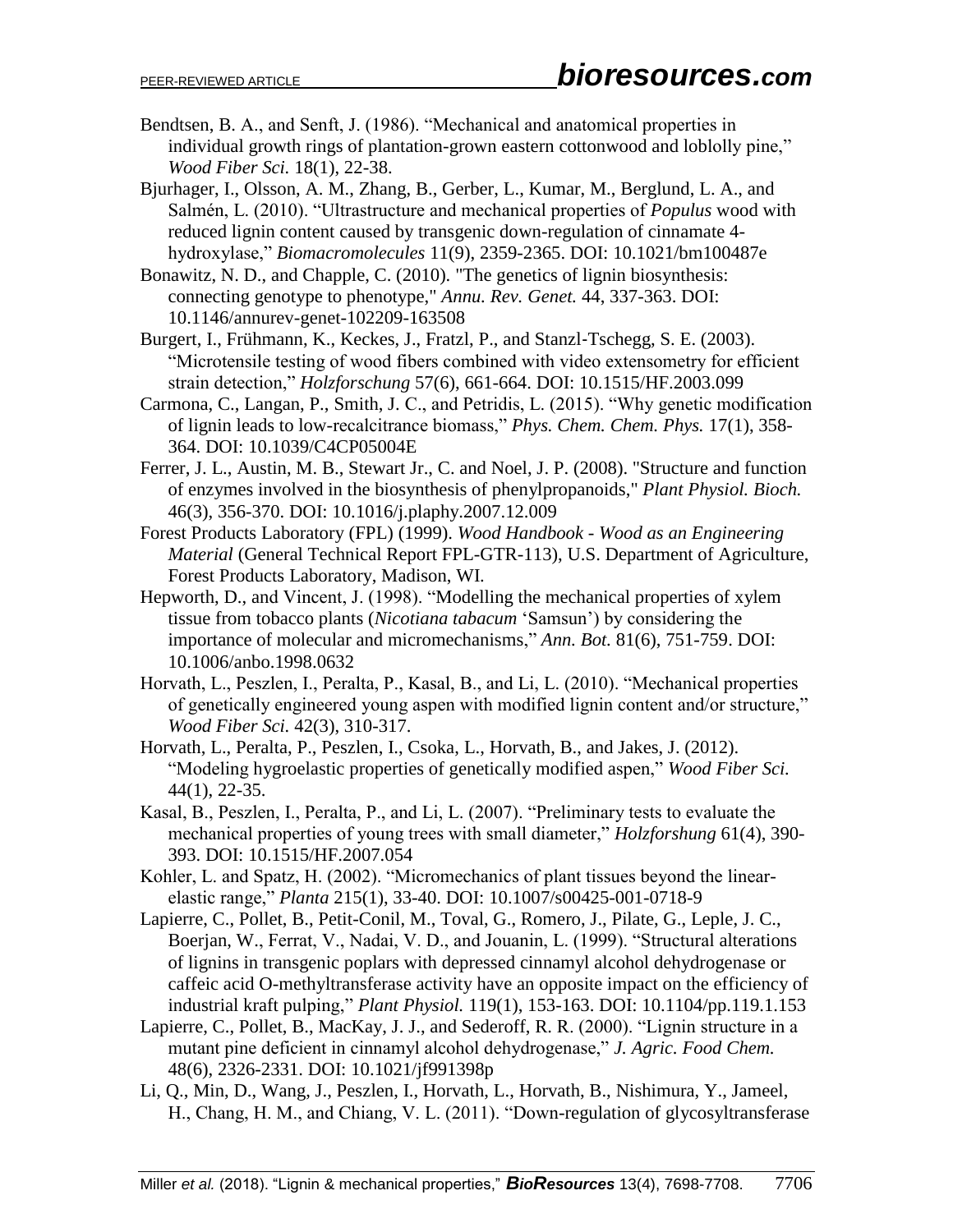- Bendtsen, B. A., and Senft, J. (1986). "Mechanical and anatomical properties in individual growth rings of plantation-grown eastern cottonwood and loblolly pine," *Wood Fiber Sci.* 18(1), 22-38.
- Bjurhager, I., Olsson, A. M., Zhang, B., Gerber, L., Kumar, M., Berglund, L. A., and Salmén, L. (2010). "Ultrastructure and mechanical properties of *Populus* wood with reduced lignin content caused by transgenic down-regulation of cinnamate 4 hydroxylase," *Biomacromolecules* 11(9), 2359-2365. DOI: 10.1021/bm100487e
- Bonawitz, N. D., and Chapple, C. (2010). "The genetics of lignin biosynthesis: connecting genotype to phenotype," *Annu. Rev. Genet.* 44, 337-363. DOI: [10.1146/annurev-genet-102209-163508](https://doi.org/10.1146/annurev-genet-102209-163508)
- Burgert, I., Frühmann, K., Keckes, J., Fratzl, P., and Stanzl‐Tschegg, S. E. (2003). "Microtensile testing of wood fibers combined with video extensometry for efficient strain detection," *Holzforschung* 57(6), 661-664. DOI: [10.1515/HF.2003.099](https://doi.org/10.1515/HF.2003.099)
- Carmona, C., Langan, P., Smith, J. C., and Petridis, L. (2015). "Why genetic modification of lignin leads to low-recalcitrance biomass," *Phys. Chem. Chem. Phys.* 17(1), 358- 364. DOI: [10.1039/C4CP05004E](https://doi.org/10.1039/C4CP05004E)
- Ferrer, J. L., Austin, M. B., Stewart Jr., C. and Noel, J. P. (2008). "Structure and function of enzymes involved in the biosynthesis of phenylpropanoids," *Plant Physiol. Bioch.* 46(3), 356-370. DOI: [10.1016/j.plaphy.2007.12.009](https://doi.org/10.1016/j.plaphy.2007.12.009)
- Forest Products Laboratory (FPL) (1999). *Wood Handbook - Wood as an Engineering Material* (General Technical Report FPL-GTR-113), U.S. Department of Agriculture, Forest Products Laboratory, Madison, WI.
- Hepworth, D., and Vincent, J. (1998). "Modelling the mechanical properties of xylem tissue from tobacco plants (*Nicotiana tabacum* 'Samsun') by considering the importance of molecular and micromechanisms," *Ann. Bot.* 81(6), 751-759. DOI: 10.1006/anbo.1998.0632
- Horvath, L., Peszlen, I., Peralta, P., Kasal, B., and Li, L. (2010). "Mechanical properties of genetically engineered young aspen with modified lignin content and/or structure," *Wood Fiber Sci.* 42(3), 310-317.
- Horvath, L., Peralta, P., Peszlen, I., Csoka, L., Horvath, B., and Jakes, J. (2012). "Modeling hygroelastic properties of genetically modified aspen," *Wood Fiber Sci.* 44(1), 22-35.
- Kasal, B., Peszlen, I., Peralta, P., and Li, L. (2007). "Preliminary tests to evaluate the mechanical properties of young trees with small diameter," *Holzforshung* 61(4), 390- 393. DOI: [10.1515/HF.2007.054](https://doi.org/10.1515/HF.2007.054)
- Kohler, L. and Spatz, H. (2002). "Micromechanics of plant tissues beyond the linearelastic range," *Planta* 215(1), 33-40. DOI: 10.1007/s00425-001-0718-9
- Lapierre, C., Pollet, B., Petit-Conil, M., Toval, G., Romero, J., Pilate, G., Leple, J. C., Boerjan, W., Ferrat, V., Nadai, V. D., and Jouanin, L. (1999). "Structural alterations of lignins in transgenic poplars with depressed cinnamyl alcohol dehydrogenase or caffeic acid O-methyltransferase activity have an opposite impact on the efficiency of industrial kraft pulping," *Plant Physiol.* 119(1), 153-163. DOI: 10.1104/pp.119.1.153
- Lapierre, C., Pollet, B., MacKay, J. J., and Sederoff, R. R. (2000). "Lignin structure in a mutant pine deficient in cinnamyl alcohol dehydrogenase," *J. Agric. Food Chem.* 48(6), 2326-2331. DOI: [10.1021/jf991398p](https://doi.org/10.1021/jf991398p)
- Li, Q., Min, D., Wang, J., Peszlen, I., Horvath, L., Horvath, B., Nishimura, Y., Jameel, H., Chang, H. M., and Chiang, V. L. (2011). "Down-regulation of glycosyltransferase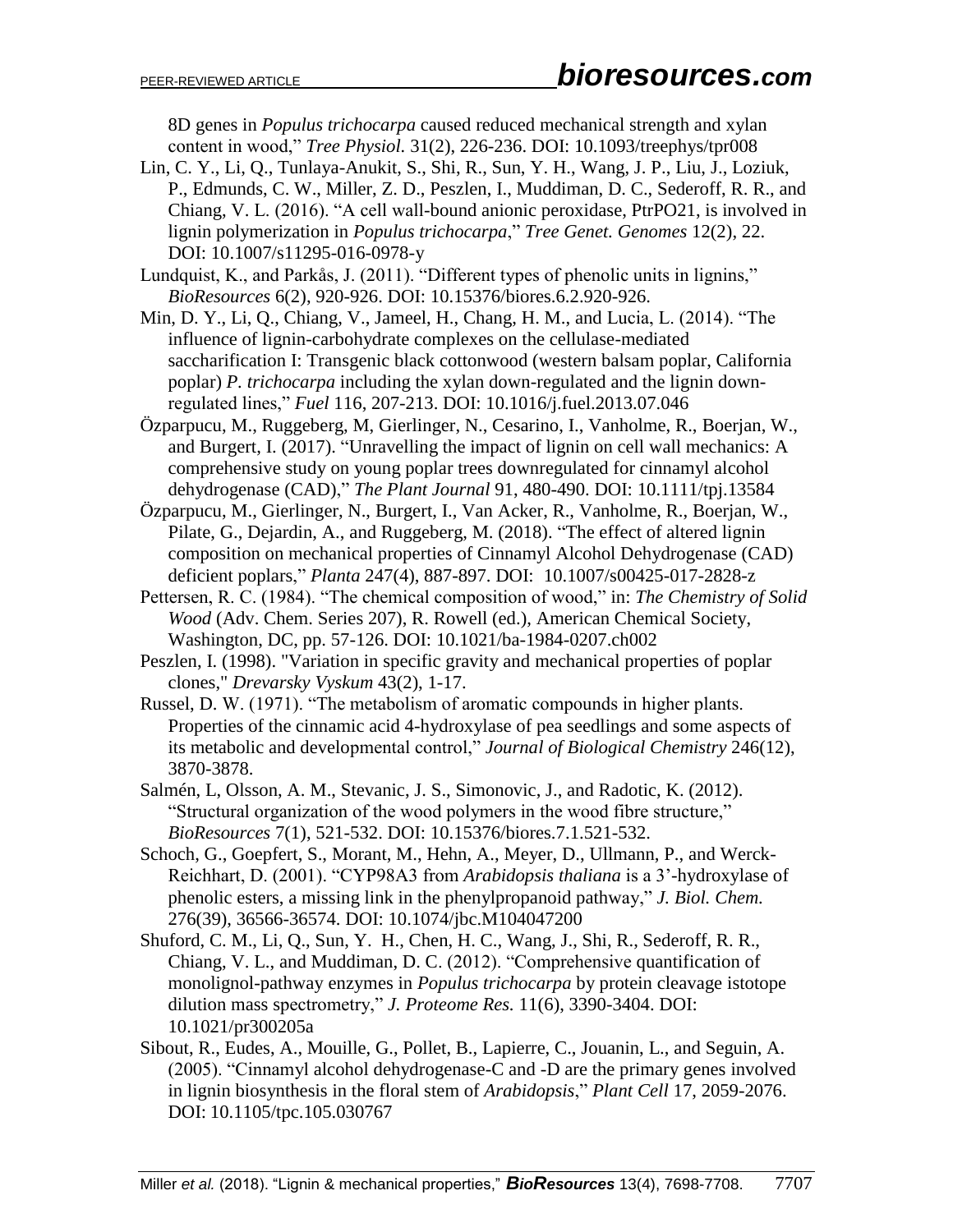8D genes in *Populus trichocarpa* caused reduced mechanical strength and xylan content in wood," *Tree Physiol.* 31(2), 226-236. DOI: [10.1093/treephys/tpr008](https://doi.org/10.1093/treephys/tpr008)

- Lin, C. Y., Li, Q., Tunlaya-Anukit, S., Shi, R., Sun, Y. H., Wang, J. P., Liu, J., Loziuk, P., Edmunds, C. W., Miller, Z. D., Peszlen, I., Muddiman, D. C., Sederoff, R. R., and Chiang, V. L. (2016). "A cell wall-bound anionic peroxidase, PtrPO21, is involved in lignin polymerization in *Populus trichocarpa*," *Tree Genet. Genomes* 12(2), 22. DOI: [10.1007/s11295-016-0978-y](https://doi.org/10.1007/s11295-016-0978-y)
- Lundquist, K., and Parkås, J. (2011). "Different types of phenolic units in lignins," *BioResources* 6(2), 920-926. DOI: 10.15376/biores.6.2.920-926.
- Min, D. Y., Li, Q., Chiang, V., Jameel, H., Chang, H. M., and Lucia, L. (2014). "The influence of lignin-carbohydrate complexes on the cellulase-mediated saccharification I: Transgenic black cottonwood (western balsam poplar, California poplar) *P. trichocarpa* including the xylan down-regulated and the lignin downregulated lines," *Fuel* 116, 207-213. DOI: [10.1016/j.fuel.2013.07.046](https://doi.org/10.1016/j.fuel.2013.07.046)
- Özparpucu, M., Ruggeberg, M, Gierlinger, N., Cesarino, I., Vanholme, R., Boerjan, W., and Burgert, I. (2017). "Unravelling the impact of lignin on cell wall mechanics: A comprehensive study on young poplar trees downregulated for cinnamyl alcohol dehydrogenase (CAD)," *The Plant Journal* 91, 480-490. DOI: [10.1111/tpj.13584](https://doi.org/10.1111/tpj.13584)
- Özparpucu, M., Gierlinger, N., Burgert, I., Van Acker, R., Vanholme, R., Boerjan, W., Pilate, G., Dejardin, A., and Ruggeberg, M. (2018). "The effect of altered lignin composition on mechanical properties of Cinnamyl Alcohol Dehydrogenase (CAD) deficient poplars," *Planta* 247(4), 887-897. DOI: [10.1007/s00425-017-2828-z](https://doi.org/10.1007/s00425-017-2828-z)
- Pettersen, R. C. (1984). "The chemical composition of wood," in: *The Chemistry of Solid Wood* (Adv. Chem. Series 207), R. Rowell (ed.), American Chemical Society, Washington, DC, pp. 57-126. DOI: [10.1021/ba-1984-0207.ch002](https://doi.org/10.1021/ba-1984-0207.ch002)
- Peszlen, I. (1998). "Variation in specific gravity and mechanical properties of poplar clones," *Drevarsky Vyskum* 43(2), 1-17.
- Russel, D. W. (1971). "The metabolism of aromatic compounds in higher plants. Properties of the cinnamic acid 4-hydroxylase of pea seedlings and some aspects of its metabolic and developmental control," *Journal of Biological Chemistry* 246(12), 3870-3878.
- Salmén, L, Olsson, A. M., Stevanic, J. S., Simonovic, J., and Radotic, K. (2012). "Structural organization of the wood polymers in the wood fibre structure," *BioResources* 7(1), 521-532. DOI: 10.15376/biores.7.1.521-532.
- Schoch, G., Goepfert, S., Morant, M., Hehn, A., Meyer, D., Ullmann, P., and Werck-Reichhart, D. (2001). "CYP98A3 from *Arabidopsis thaliana* is a 3'-hydroxylase of phenolic esters, a missing link in the phenylpropanoid pathway," *J. Biol. Chem.* 276(39), 36566-36574. DOI: [10.1074/jbc.M104047200](https://doi.org/10.1074/jbc.M104047200)
- Shuford, C. M., Li, Q., Sun, Y. H., Chen, H. C., Wang, J., Shi, R., Sederoff, R. R., Chiang, V. L., and Muddiman, D. C. (2012). "Comprehensive quantification of monolignol-pathway enzymes in *Populus trichocarpa* by protein cleavage istotope dilution mass spectrometry," *J. Proteome Res.* 11(6), 3390-3404. DOI: [10.1021/pr300205a](https://doi.org/10.1021/pr300205a)
- Sibout, R., Eudes, A., Mouille, G., Pollet, B., Lapierre, C., Jouanin, L., and Seguin, A. (2005). "Cinnamyl alcohol dehydrogenase-C and -D are the primary genes involved in lignin biosynthesis in the floral stem of *Arabidopsis*," *Plant Cell* 17, 2059-2076. DOI: 10.1105/tpc.105.030767